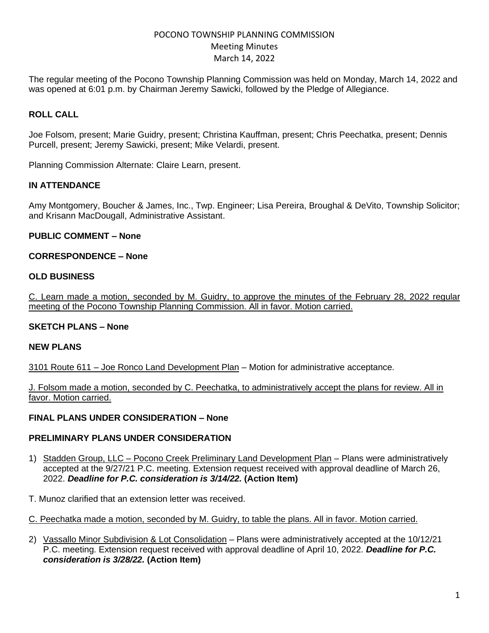# POCONO TOWNSHIP PLANNING COMMISSION Meeting Minutes March 14, 2022

The regular meeting of the Pocono Township Planning Commission was held on Monday, March 14, 2022 and was opened at 6:01 p.m. by Chairman Jeremy Sawicki, followed by the Pledge of Allegiance.

## **ROLL CALL**

Joe Folsom, present; Marie Guidry, present; Christina Kauffman, present; Chris Peechatka, present; Dennis Purcell, present; Jeremy Sawicki, present; Mike Velardi, present.

Planning Commission Alternate: Claire Learn, present.

### **IN ATTENDANCE**

Amy Montgomery, Boucher & James, Inc., Twp. Engineer; Lisa Pereira, Broughal & DeVito, Township Solicitor; and Krisann MacDougall, Administrative Assistant.

#### **PUBLIC COMMENT – None**

#### **CORRESPONDENCE – None**

#### **OLD BUSINESS**

C. Learn made a motion, seconded by M. Guidry, to approve the minutes of the February 28, 2022 regular meeting of the Pocono Township Planning Commission. All in favor. Motion carried.

### **SKETCH PLANS – None**

#### **NEW PLANS**

3101 Route 611 – Joe Ronco Land Development Plan – Motion for administrative acceptance.

J. Folsom made a motion, seconded by C. Peechatka, to administratively accept the plans for review. All in favor. Motion carried.

### **FINAL PLANS UNDER CONSIDERATION – None**

#### **PRELIMINARY PLANS UNDER CONSIDERATION**

- 1) Stadden Group, LLC Pocono Creek Preliminary Land Development Plan Plans were administratively accepted at the 9/27/21 P.C. meeting. Extension request received with approval deadline of March 26, 2022. *Deadline for P.C. consideration is 3/14/22.* **(Action Item)**
- T. Munoz clarified that an extension letter was received.

C. Peechatka made a motion, seconded by M. Guidry, to table the plans. All in favor. Motion carried.

2) Vassallo Minor Subdivision & Lot Consolidation – Plans were administratively accepted at the 10/12/21 P.C. meeting. Extension request received with approval deadline of April 10, 2022. *Deadline for P.C. consideration is 3/28/22.* **(Action Item)**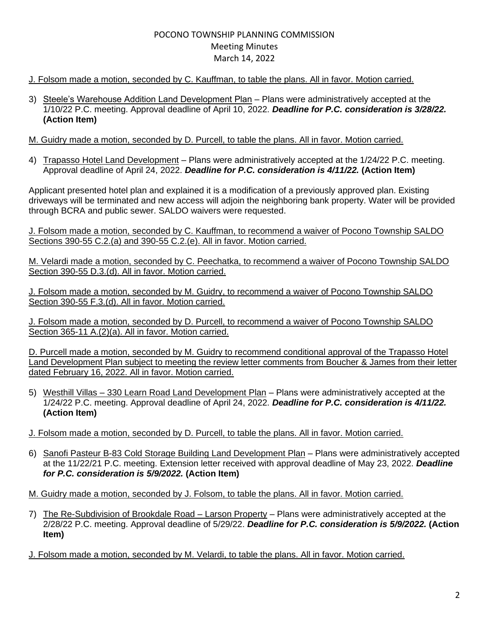# POCONO TOWNSHIP PLANNING COMMISSION Meeting Minutes March 14, 2022

## J. Folsom made a motion, seconded by C. Kauffman, to table the plans. All in favor. Motion carried.

3) Steele's Warehouse Addition Land Development Plan – Plans were administratively accepted at the 1/10/22 P.C. meeting. Approval deadline of April 10, 2022. *Deadline for P.C. consideration is 3/28/22.* **(Action Item)**

### M. Guidry made a motion, seconded by D. Purcell, to table the plans. All in favor. Motion carried.

4) Trapasso Hotel Land Development – Plans were administratively accepted at the 1/24/22 P.C. meeting. Approval deadline of April 24, 2022. *Deadline for P.C. consideration is 4/11/22.* **(Action Item)**

Applicant presented hotel plan and explained it is a modification of a previously approved plan. Existing driveways will be terminated and new access will adjoin the neighboring bank property. Water will be provided through BCRA and public sewer. SALDO waivers were requested.

J. Folsom made a motion, seconded by C. Kauffman, to recommend a waiver of Pocono Township SALDO Sections 390-55 C.2.(a) and 390-55 C.2.(e). All in favor. Motion carried.

M. Velardi made a motion, seconded by C. Peechatka, to recommend a waiver of Pocono Township SALDO Section 390-55 D.3.(d). All in favor. Motion carried.

J. Folsom made a motion, seconded by M. Guidry, to recommend a waiver of Pocono Township SALDO Section 390-55 F.3.(d). All in favor. Motion carried.

J. Folsom made a motion, seconded by D. Purcell, to recommend a waiver of Pocono Township SALDO Section 365-11 A.(2)(a). All in favor. Motion carried.

D. Purcell made a motion, seconded by M. Guidry to recommend conditional approval of the Trapasso Hotel Land Development Plan subject to meeting the review letter comments from Boucher & James from their letter dated February 16, 2022. All in favor. Motion carried.

- 5) Westhill Villas 330 Learn Road Land Development Plan Plans were administratively accepted at the 1/24/22 P.C. meeting. Approval deadline of April 24, 2022. *Deadline for P.C. consideration is 4/11/22.* **(Action Item)**
- J. Folsom made a motion, seconded by D. Purcell, to table the plans. All in favor. Motion carried.
- 6) Sanofi Pasteur B-83 Cold Storage Building Land Development Plan Plans were administratively accepted at the 11/22/21 P.C. meeting. Extension letter received with approval deadline of May 23, 2022. *Deadline for P.C. consideration is 5/9/2022.* **(Action Item)**

M. Guidry made a motion, seconded by J. Folsom, to table the plans. All in favor. Motion carried.

7) The Re-Subdivision of Brookdale Road - Larson Property - Plans were administratively accepted at the 2/28/22 P.C. meeting. Approval deadline of 5/29/22. *Deadline for P.C. consideration is 5/9/2022.* **(Action Item)**

J. Folsom made a motion, seconded by M. Velardi, to table the plans. All in favor. Motion carried.